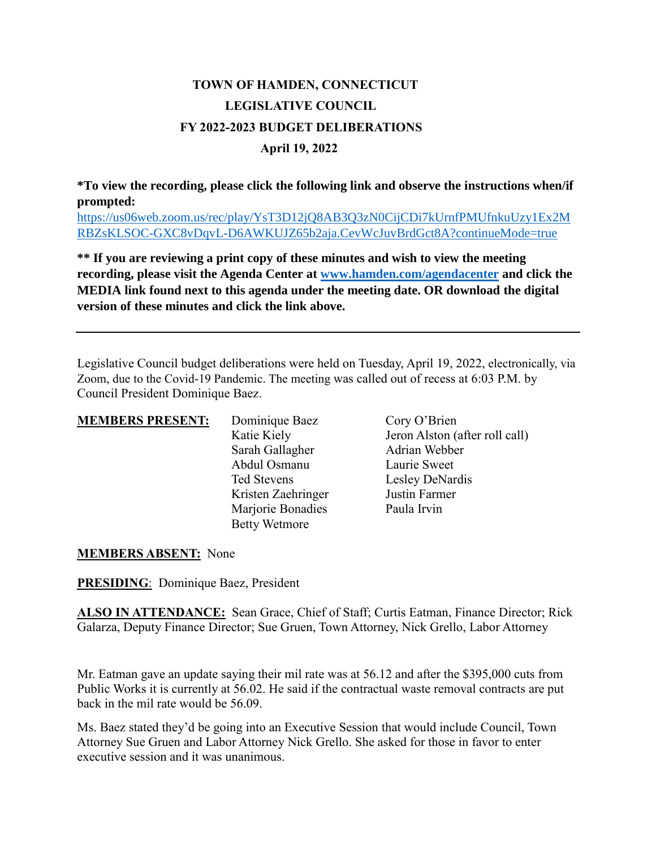## **TOWN OF HAMDEN, CONNECTICUT LEGISLATIVE COUNCIL FY 2022-2023 BUDGET DELIBERATIONS April 19, 2022**

**\*To view the recording, please click the following link and observe the instructions when/if prompted:**

[https://us06web.zoom.us/rec/play/YsT3D12jQ8AB3Q3zN0CijCDi7kUrnfPMUfnkuUzy1Ex2M](https://us06web.zoom.us/rec/play/YsT3D12jQ8AB3Q3zN0CijCDi7kUrnfPMUfnkuUzy1Ex2MRBZsKLSOC-GXC8vDqvL-D6AWKUJZ65b2aja.CevWcJuvBrdGct8A?continueMode=true) [RBZsKLSOC-GXC8vDqvL-D6AWKUJZ65b2aja.CevWcJuvBrdGct8A?continueMode=true](https://us06web.zoom.us/rec/play/YsT3D12jQ8AB3Q3zN0CijCDi7kUrnfPMUfnkuUzy1Ex2MRBZsKLSOC-GXC8vDqvL-D6AWKUJZ65b2aja.CevWcJuvBrdGct8A?continueMode=true)

**\*\* If you are reviewing a print copy of these minutes and wish to view the meeting recording, please visit the Agenda Center at [www.hamden.com/agendacenter](http://www.hamden.com/agendacenter) and click the MEDIA link found next to this agenda under the meeting date. OR download the digital version of these minutes and click the link above.**

Legislative Council budget deliberations were held on Tuesday, April 19, 2022, electronically, via Zoom, due to the Covid-19 Pandemic. The meeting was called out of recess at 6:03 P.M. by Council President Dominique Baez.

| <b>MEMBERS PRESENT:</b> | Dominique Baez       | Cory O'Brien                   |
|-------------------------|----------------------|--------------------------------|
|                         | Katie Kiely          | Jeron Alston (after roll call) |
|                         | Sarah Gallagher      | Adrian Webber                  |
|                         | Abdul Osmanu         | Laurie Sweet                   |
|                         | Ted Stevens          | Lesley DeNardis                |
|                         | Kristen Zaehringer   | Justin Farmer                  |
|                         | Marjorie Bonadies    | Paula Irvin                    |
|                         | <b>Betty Wetmore</b> |                                |

## **MEMBERS ABSENT:** None

**PRESIDING**: Dominique Baez, President

**ALSO IN ATTENDANCE:** Sean Grace, Chief of Staff; Curtis Eatman, Finance Director; Rick Galarza, Deputy Finance Director; Sue Gruen, Town Attorney, Nick Grello, Labor Attorney

Mr. Eatman gave an update saying their mil rate was at 56.12 and after the \$395,000 cuts from Public Works it is currently at 56.02. He said if the contractual waste removal contracts are put back in the mil rate would be 56.09.

Ms. Baez stated they'd be going into an Executive Session that would include Council, Town Attorney Sue Gruen and Labor Attorney Nick Grello. She asked for those in favor to enter executive session and it was unanimous.